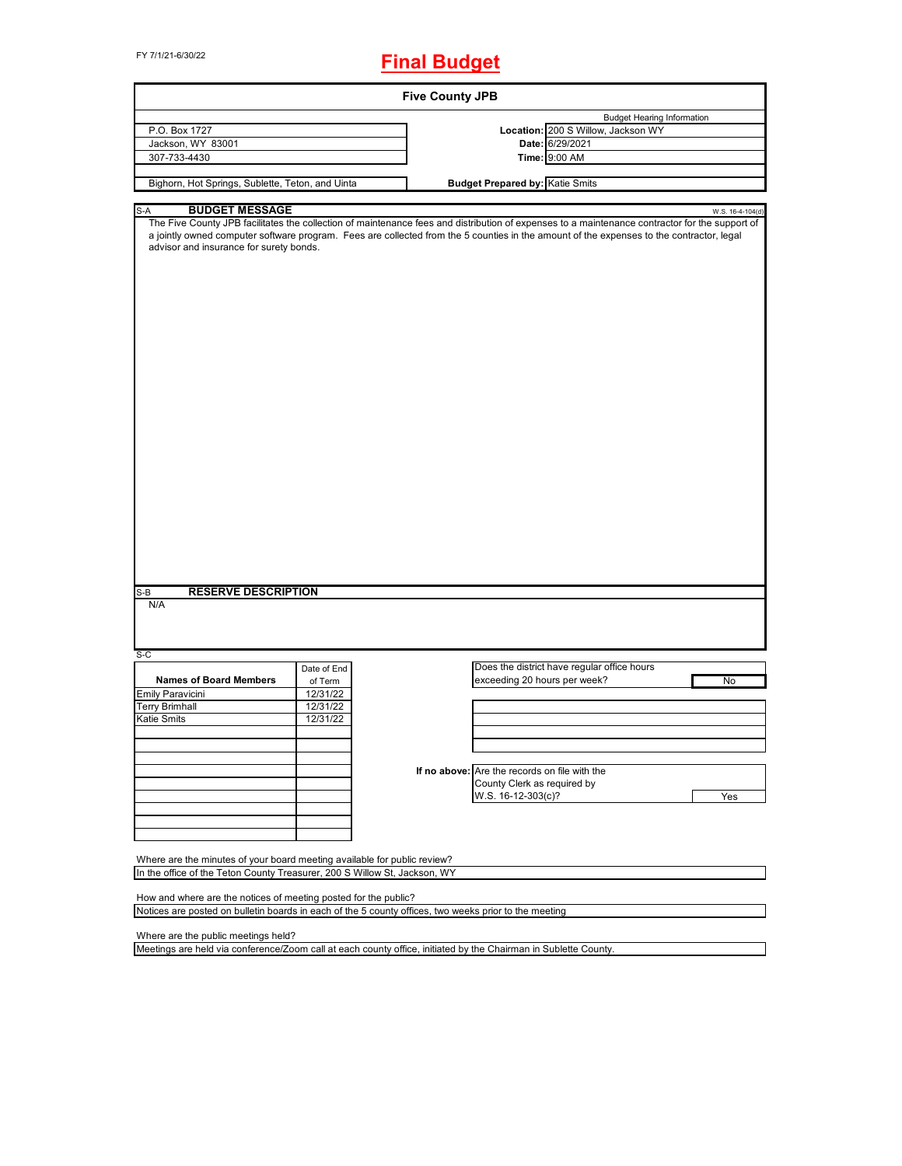## FY 7/1/21-6/30/22 **Final Budget**

| P.O. Box 1727<br>Jackson, WY 83001<br>307-733-4430<br>Bighorn, Hot Springs, Sublette, Teton, and Uinta<br><b>BUDGET MESSAGE</b><br>S-A<br>The Five County JPB facilitates the collection of maintenance fees and distribution of expenses to a maintenance contractor for the support of<br>a jointly owned computer software program. Fees are collected from the 5 counties in the amount of the expenses to the contractor, legal<br>advisor and insurance for surety bonds. |             | Time: 9:00 AM<br><b>Budget Prepared by: Katie Smits</b> | <b>Budget Hearing Information</b><br>Location: 200 S Willow, Jackson WY<br>Date: 6/29/2021 | W.S. 16-4-104(d) |
|---------------------------------------------------------------------------------------------------------------------------------------------------------------------------------------------------------------------------------------------------------------------------------------------------------------------------------------------------------------------------------------------------------------------------------------------------------------------------------|-------------|---------------------------------------------------------|--------------------------------------------------------------------------------------------|------------------|
|                                                                                                                                                                                                                                                                                                                                                                                                                                                                                 |             |                                                         |                                                                                            |                  |
|                                                                                                                                                                                                                                                                                                                                                                                                                                                                                 |             |                                                         |                                                                                            |                  |
|                                                                                                                                                                                                                                                                                                                                                                                                                                                                                 |             |                                                         |                                                                                            |                  |
|                                                                                                                                                                                                                                                                                                                                                                                                                                                                                 |             |                                                         |                                                                                            |                  |
|                                                                                                                                                                                                                                                                                                                                                                                                                                                                                 |             |                                                         |                                                                                            |                  |
|                                                                                                                                                                                                                                                                                                                                                                                                                                                                                 |             |                                                         |                                                                                            |                  |
|                                                                                                                                                                                                                                                                                                                                                                                                                                                                                 |             |                                                         |                                                                                            |                  |
|                                                                                                                                                                                                                                                                                                                                                                                                                                                                                 |             |                                                         |                                                                                            |                  |
|                                                                                                                                                                                                                                                                                                                                                                                                                                                                                 |             |                                                         |                                                                                            |                  |
| <b>RESERVE DESCRIPTION</b><br>S-B<br>N/A                                                                                                                                                                                                                                                                                                                                                                                                                                        |             |                                                         |                                                                                            |                  |
| $S-C$                                                                                                                                                                                                                                                                                                                                                                                                                                                                           |             |                                                         |                                                                                            |                  |
|                                                                                                                                                                                                                                                                                                                                                                                                                                                                                 | Date of End |                                                         | Does the district have regular office hours                                                |                  |
| <b>Names of Board Members</b>                                                                                                                                                                                                                                                                                                                                                                                                                                                   | of Term     | exceeding 20 hours per week?                            |                                                                                            | No               |
| Emily Paravicini                                                                                                                                                                                                                                                                                                                                                                                                                                                                | 12/31/22    |                                                         |                                                                                            |                  |
| Terry Brimhall                                                                                                                                                                                                                                                                                                                                                                                                                                                                  | 12/31/22    |                                                         |                                                                                            |                  |
| Katie Smits                                                                                                                                                                                                                                                                                                                                                                                                                                                                     | 12/31/22    |                                                         |                                                                                            |                  |
|                                                                                                                                                                                                                                                                                                                                                                                                                                                                                 |             |                                                         |                                                                                            |                  |
|                                                                                                                                                                                                                                                                                                                                                                                                                                                                                 |             |                                                         |                                                                                            |                  |
|                                                                                                                                                                                                                                                                                                                                                                                                                                                                                 |             |                                                         |                                                                                            |                  |
|                                                                                                                                                                                                                                                                                                                                                                                                                                                                                 |             | If no above: Are the records on file with the           |                                                                                            |                  |
|                                                                                                                                                                                                                                                                                                                                                                                                                                                                                 |             | County Clerk as required by                             |                                                                                            |                  |
|                                                                                                                                                                                                                                                                                                                                                                                                                                                                                 |             |                                                         |                                                                                            |                  |
|                                                                                                                                                                                                                                                                                                                                                                                                                                                                                 |             | W.S. 16-12-303(c)?                                      |                                                                                            | Yes              |
|                                                                                                                                                                                                                                                                                                                                                                                                                                                                                 |             |                                                         |                                                                                            |                  |
|                                                                                                                                                                                                                                                                                                                                                                                                                                                                                 |             |                                                         |                                                                                            |                  |
|                                                                                                                                                                                                                                                                                                                                                                                                                                                                                 |             |                                                         |                                                                                            |                  |
|                                                                                                                                                                                                                                                                                                                                                                                                                                                                                 |             |                                                         |                                                                                            |                  |
| Where are the minutes of your board meeting available for public review?                                                                                                                                                                                                                                                                                                                                                                                                        |             |                                                         |                                                                                            |                  |
|                                                                                                                                                                                                                                                                                                                                                                                                                                                                                 |             |                                                         |                                                                                            |                  |
|                                                                                                                                                                                                                                                                                                                                                                                                                                                                                 |             |                                                         |                                                                                            |                  |
| In the office of the Teton County Treasurer, 200 S Willow St, Jackson, WY                                                                                                                                                                                                                                                                                                                                                                                                       |             |                                                         |                                                                                            |                  |
|                                                                                                                                                                                                                                                                                                                                                                                                                                                                                 |             |                                                         |                                                                                            |                  |
| How and where are the notices of meeting posted for the public?                                                                                                                                                                                                                                                                                                                                                                                                                 |             |                                                         |                                                                                            |                  |
| Notices are posted on bulletin boards in each of the 5 county offices, two weeks prior to the meeting                                                                                                                                                                                                                                                                                                                                                                           |             |                                                         |                                                                                            |                  |